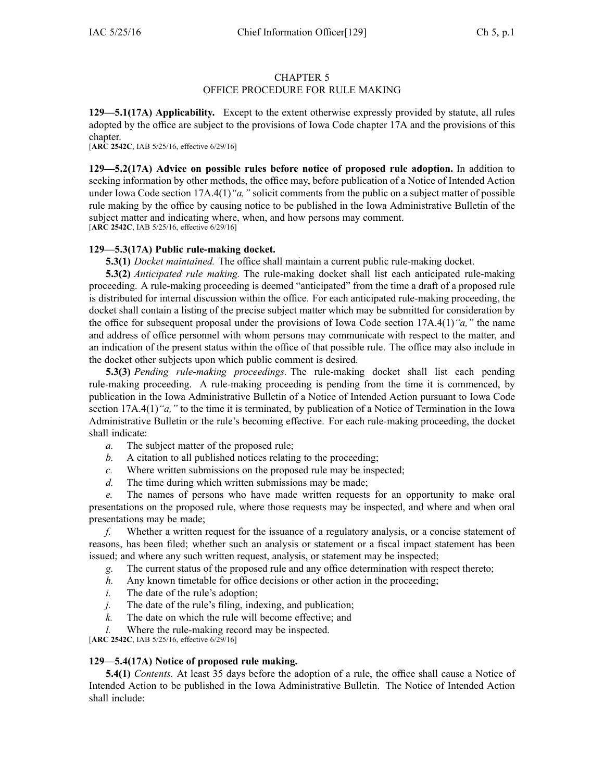# CHAPTER 5

## OFFICE PROCEDURE FOR RULE MAKING

**129—5.1(17A) Applicability.** Except to the extent otherwise expressly provided by statute, all rules adopted by the office are subject to the provisions of Iowa Code chapter [17A](https://www.legis.iowa.gov/docs/ico/chapter/17A.pdf) and the provisions of this chapter.

[**ARC 2542C**, IAB 5/25/16, effective 6/29/16]

**129—5.2(17A) Advice on possible rules before notice of proposed rule adoption.** In addition to seeking information by other methods, the office may, before publication of <sup>a</sup> Notice of Intended Action under Iowa Code section [17A.4\(1\)](https://www.legis.iowa.gov/docs/ico/section/17A.4.pdf)*"a,"* solicit comments from the public on <sup>a</sup> subject matter of possible rule making by the office by causing notice to be published in the Iowa Administrative Bulletin of the subject matter and indicating where, when, and how persons may comment. [**ARC 2542C**, IAB 5/25/16, effective 6/29/16]

## **129—5.3(17A) Public rule-making docket.**

**5.3(1)** *Docket maintained.* The office shall maintain <sup>a</sup> current public rule-making docket.

**5.3(2)** *Anticipated rule making.* The rule-making docket shall list each anticipated rule-making proceeding. A rule-making proceeding is deemed "anticipated" from the time <sup>a</sup> draft of <sup>a</sup> proposed rule is distributed for internal discussion within the office. For each anticipated rule-making proceeding, the docket shall contain <sup>a</sup> listing of the precise subject matter which may be submitted for consideration by the office for subsequent proposal under the provisions of Iowa Code section [17A.4\(1\)](https://www.legis.iowa.gov/docs/ico/section/17A.4.pdf)*"a,"* the name and address of office personnel with whom persons may communicate with respec<sup>t</sup> to the matter, and an indication of the presen<sup>t</sup> status within the office of that possible rule. The office may also include in the docket other subjects upon which public comment is desired.

**5.3(3)** *Pending rule-making proceedings.* The rule-making docket shall list each pending rule-making proceeding. A rule-making proceeding is pending from the time it is commenced, by publication in the Iowa Administrative Bulletin of <sup>a</sup> Notice of Intended Action pursuan<sup>t</sup> to Iowa Code section [17A.4\(1\)](https://www.legis.iowa.gov/docs/ico/section/17A.4.pdf)<sup>*"a,"* to the time it is terminated, by publication of a Notice of Termination in the Iowa</sup> Administrative Bulletin or the rule's becoming effective. For each rule-making proceeding, the docket shall indicate:

- *a.* The subject matter of the proposed rule;
- *b.* A citation to all published notices relating to the proceeding;
- *c.* Where written submissions on the proposed rule may be inspected;
- *d.* The time during which written submissions may be made;

*e.* The names of persons who have made written requests for an opportunity to make oral presentations on the proposed rule, where those requests may be inspected, and where and when oral presentations may be made;

*f.* Whether <sup>a</sup> written reques<sup>t</sup> for the issuance of <sup>a</sup> regulatory analysis, or <sup>a</sup> concise statement of reasons, has been filed; whether such an analysis or statement or <sup>a</sup> fiscal impact statement has been issued; and where any such written request, analysis, or statement may be inspected;

- *g.* The current status of the proposed rule and any office determination with respec<sup>t</sup> thereto;
- *h.* Any known timetable for office decisions or other action in the proceeding;
- *i.* The date of the rule's adoption;
- *j.* The date of the rule's filing, indexing, and publication;
- *k.* The date on which the rule will become effective; and
- *l.* Where the rule-making record may be inspected.

[**ARC 2542C**, IAB 5/25/16, effective 6/29/16]

### **129—5.4(17A) Notice of proposed rule making.**

**5.4(1)** *Contents.* At least 35 days before the adoption of <sup>a</sup> rule, the office shall cause <sup>a</sup> Notice of Intended Action to be published in the Iowa Administrative Bulletin. The Notice of Intended Action shall include: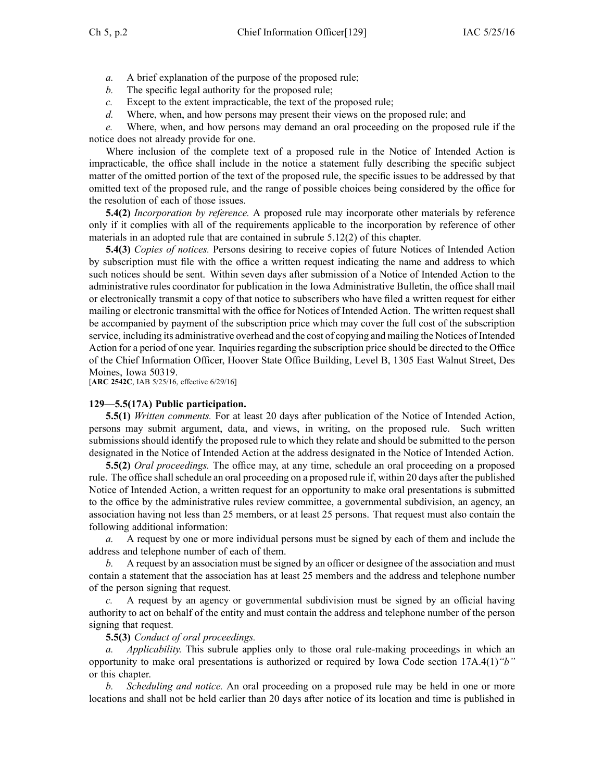- *a.* A brief explanation of the purpose of the proposed rule;
- *b.* The specific legal authority for the proposed rule;
- *c.* Except to the extent impracticable, the text of the proposed rule;
- *d.* Where, when, and how persons may presen<sup>t</sup> their views on the proposed rule; and

*e.* Where, when, and how persons may demand an oral proceeding on the proposed rule if the notice does not already provide for one.

Where inclusion of the complete text of <sup>a</sup> proposed rule in the Notice of Intended Action is impracticable, the office shall include in the notice <sup>a</sup> statement fully describing the specific subject matter of the omitted portion of the text of the proposed rule, the specific issues to be addressed by that omitted text of the proposed rule, and the range of possible choices being considered by the office for the resolution of each of those issues.

**5.4(2)** *Incorporation by reference.* A proposed rule may incorporate other materials by reference only if it complies with all of the requirements applicable to the incorporation by reference of other materials in an adopted rule that are contained in subrule 5.12(2) of this chapter.

**5.4(3)** *Copies of notices.* Persons desiring to receive copies of future Notices of Intended Action by subscription must file with the office <sup>a</sup> written reques<sup>t</sup> indicating the name and address to which such notices should be sent. Within seven days after submission of <sup>a</sup> Notice of Intended Action to the administrative rules coordinator for publication in the Iowa Administrative Bulletin, the office shall mail or electronically transmit <sup>a</sup> copy of that notice to subscribers who have filed <sup>a</sup> written reques<sup>t</sup> for either mailing or electronic transmittal with the office for Notices of Intended Action. The written reques<sup>t</sup> shall be accompanied by paymen<sup>t</sup> of the subscription price which may cover the full cost of the subscription service, including its administrative overhead and the cost of copying and mailing the Notices of Intended Action for a period of one year. Inquiries regarding the subscription price should be directed to the Office of the Chief Information Officer, Hoover State Office Building, Level B, 1305 East Walnut Street, Des Moines, Iowa 50319.

[**ARC 2542C**, IAB 5/25/16, effective 6/29/16]

## **129—5.5(17A) Public participation.**

**5.5(1)** *Written comments.* For at least 20 days after publication of the Notice of Intended Action, persons may submit argument, data, and views, in writing, on the proposed rule. Such written submissions should identify the proposed rule to which they relate and should be submitted to the person designated in the Notice of Intended Action at the address designated in the Notice of Intended Action.

**5.5(2)** *Oral proceedings.* The office may, at any time, schedule an oral proceeding on <sup>a</sup> proposed rule. The office shallschedule an oral proceeding on <sup>a</sup> proposed rule if, within 20 days after the published Notice of Intended Action, <sup>a</sup> written reques<sup>t</sup> for an opportunity to make oral presentations is submitted to the office by the administrative rules review committee, <sup>a</sup> governmental subdivision, an agency, an association having not less than 25 members, or at least 25 persons. That reques<sup>t</sup> must also contain the following additional information:

*a.* A reques<sup>t</sup> by one or more individual persons must be signed by each of them and include the address and telephone number of each of them.

*b.* A reques<sup>t</sup> by an association must be signed by an officer or designee of the association and must contain <sup>a</sup> statement that the association has at least 25 members and the address and telephone number of the person signing that request.

*c.* A reques<sup>t</sup> by an agency or governmental subdivision must be signed by an official having authority to act on behalf of the entity and must contain the address and telephone number of the person signing that request.

## **5.5(3)** *Conduct of oral proceedings.*

*a. Applicability.* This subrule applies only to those oral rule-making proceedings in which an opportunity to make oral presentations is authorized or required by Iowa Code section [17A.4\(1\)](https://www.legis.iowa.gov/docs/ico/section/17A.4.pdf)*"b"* or this chapter.

*b. Scheduling and notice.* An oral proceeding on <sup>a</sup> proposed rule may be held in one or more locations and shall not be held earlier than 20 days after notice of its location and time is published in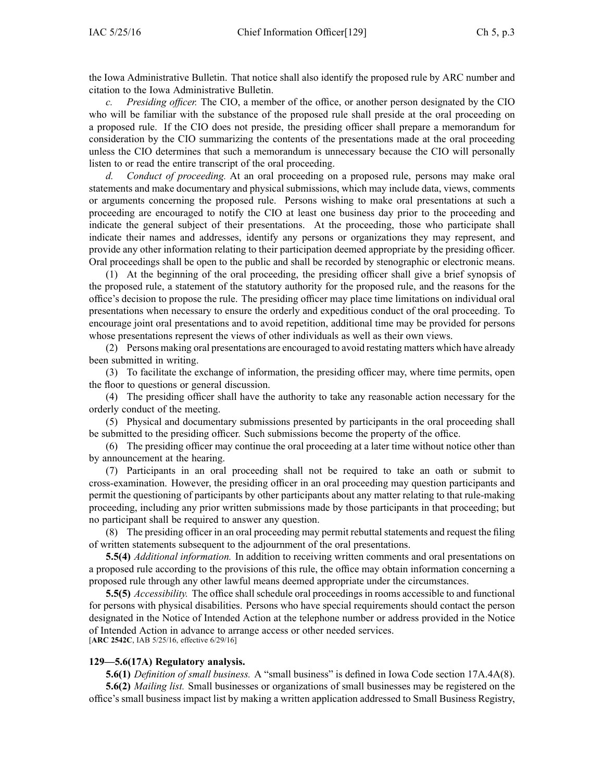the Iowa Administrative Bulletin. That notice shall also identify the proposed rule by ARC number and citation to the Iowa Administrative Bulletin.

*Presiding officer.* The CIO, a member of the office, or another person designated by the CIO who will be familiar with the substance of the proposed rule shall preside at the oral proceeding on <sup>a</sup> proposed rule. If the CIO does not preside, the presiding officer shall prepare <sup>a</sup> memorandum for consideration by the CIO summarizing the contents of the presentations made at the oral proceeding unless the CIO determines that such <sup>a</sup> memorandum is unnecessary because the CIO will personally listen to or read the entire transcript of the oral proceeding.

*d. Conduct of proceeding.* At an oral proceeding on <sup>a</sup> proposed rule, persons may make oral statements and make documentary and physical submissions, which may include data, views, comments or arguments concerning the proposed rule. Persons wishing to make oral presentations at such <sup>a</sup> proceeding are encouraged to notify the CIO at least one business day prior to the proceeding and indicate the general subject of their presentations. At the proceeding, those who participate shall indicate their names and addresses, identify any persons or organizations they may represent, and provide any other information relating to their participation deemed appropriate by the presiding officer. Oral proceedings shall be open to the public and shall be recorded by stenographic or electronic means.

(1) At the beginning of the oral proceeding, the presiding officer shall give <sup>a</sup> brief synopsis of the proposed rule, <sup>a</sup> statement of the statutory authority for the proposed rule, and the reasons for the office's decision to propose the rule. The presiding officer may place time limitations on individual oral presentations when necessary to ensure the orderly and expeditious conduct of the oral proceeding. To encourage joint oral presentations and to avoid repetition, additional time may be provided for persons whose presentations represen<sup>t</sup> the views of other individuals as well as their own views.

(2) Persons making oral presentations are encouraged to avoid restating matters which have already been submitted in writing.

(3) To facilitate the exchange of information, the presiding officer may, where time permits, open the floor to questions or general discussion.

(4) The presiding officer shall have the authority to take any reasonable action necessary for the orderly conduct of the meeting.

(5) Physical and documentary submissions presented by participants in the oral proceeding shall be submitted to the presiding officer. Such submissions become the property of the office.

(6) The presiding officer may continue the oral proceeding at <sup>a</sup> later time without notice other than by announcement at the hearing.

(7) Participants in an oral proceeding shall not be required to take an oath or submit to cross-examination. However, the presiding officer in an oral proceeding may question participants and permit the questioning of participants by other participants about any matter relating to that rule-making proceeding, including any prior written submissions made by those participants in that proceeding; but no participant shall be required to answer any question.

(8) The presiding officer in an oral proceeding may permit rebuttal statements and reques<sup>t</sup> the filing of written statements subsequent to the adjournment of the oral presentations.

**5.5(4)** *Additional information.* In addition to receiving written comments and oral presentations on <sup>a</sup> proposed rule according to the provisions of this rule, the office may obtain information concerning <sup>a</sup> proposed rule through any other lawful means deemed appropriate under the circumstances.

**5.5(5)** *Accessibility.* The office shall schedule oral proceedings in rooms accessible to and functional for persons with physical disabilities. Persons who have special requirements should contact the person designated in the Notice of Intended Action at the telephone number or address provided in the Notice of Intended Action in advance to arrange access or other needed services. [**ARC 2542C**, IAB 5/25/16, effective 6/29/16]

#### **129—5.6(17A) Regulatory analysis.**

**5.6(1)** *Definition of small business.* A "small business" is defined in Iowa Code section [17A.4A\(8\)](https://www.legis.iowa.gov/docs/ico/section/17A.4A.pdf).

**5.6(2)** *Mailing list.* Small businesses or organizations of small businesses may be registered on the office's small business impact list by making <sup>a</sup> written application addressed to Small Business Registry,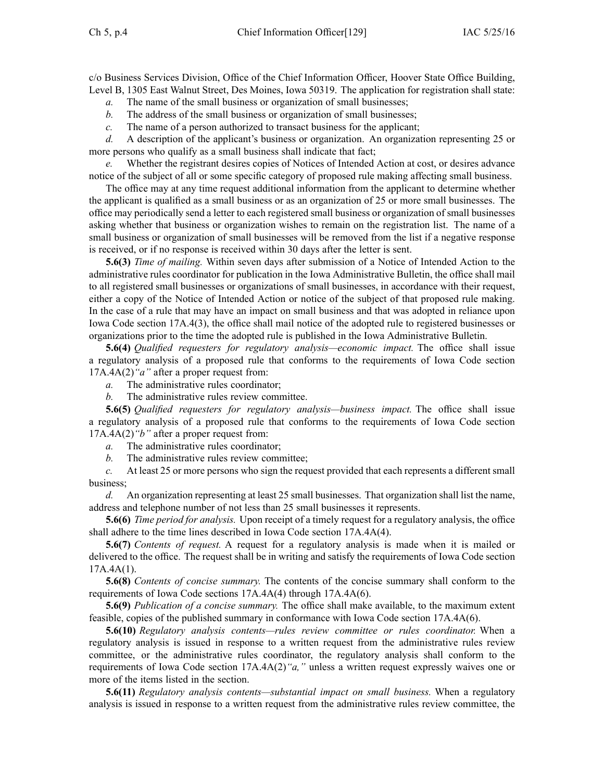c/o Business Services Division, Office of the Chief Information Officer, Hoover State Office Building, Level B, 1305 East Walnut Street, Des Moines, Iowa 50319. The application for registration shall state:

*a.* The name of the small business or organization of small businesses;

- *b.* The address of the small business or organization of small businesses;
- *c.* The name of <sup>a</sup> person authorized to transact business for the applicant;

*d.* A description of the applicant's business or organization. An organization representing 25 or more persons who qualify as <sup>a</sup> small business shall indicate that fact;

Whether the registrant desires copies of Notices of Intended Action at cost, or desires advance notice of the subject of all or some specific category of proposed rule making affecting small business.

The office may at any time reques<sup>t</sup> additional information from the applicant to determine whether the applicant is qualified as <sup>a</sup> small business or as an organization of 25 or more small businesses. The office may periodically send <sup>a</sup> letter to each registered small business or organization of small businesses asking whether that business or organization wishes to remain on the registration list. The name of <sup>a</sup> small business or organization of small businesses will be removed from the list if <sup>a</sup> negative response is received, or if no response is received within 30 days after the letter is sent.

**5.6(3)** *Time of mailing.* Within seven days after submission of <sup>a</sup> Notice of Intended Action to the administrative rules coordinator for publication in the Iowa Administrative Bulletin, the office shall mail to all registered small businesses or organizations of small businesses, in accordance with their request, either <sup>a</sup> copy of the Notice of Intended Action or notice of the subject of that proposed rule making. In the case of <sup>a</sup> rule that may have an impact on small business and that was adopted in reliance upon Iowa Code section [17A.4\(3\)](https://www.legis.iowa.gov/docs/ico/section/17A.4.pdf), the office shall mail notice of the adopted rule to registered businesses or organizations prior to the time the adopted rule is published in the Iowa Administrative Bulletin.

**5.6(4)** *Qualified requesters for regulatory analysis—economic impact.* The office shall issue <sup>a</sup> regulatory analysis of <sup>a</sup> proposed rule that conforms to the requirements of Iowa Code section [17A.4A\(2\)](https://www.legis.iowa.gov/docs/ico/section/17A.4A.pdf)*"a"* after <sup>a</sup> proper reques<sup>t</sup> from:

*a.* The administrative rules coordinator;

*b.* The administrative rules review committee.

**5.6(5)** *Qualified requesters for regulatory analysis—business impact.* The office shall issue <sup>a</sup> regulatory analysis of <sup>a</sup> proposed rule that conforms to the requirements of Iowa Code section [17A.4A\(2\)](https://www.legis.iowa.gov/docs/ico/section/17A.4A.pdf)*"b"* after <sup>a</sup> proper reques<sup>t</sup> from:

- *a.* The administrative rules coordinator;
- *b.* The administrative rules review committee;

*c.* At least 25 or more persons who sign the reques<sup>t</sup> provided that each represents <sup>a</sup> different small business;

*d.* An organization representing at least 25 small businesses. That organization shall list the name, address and telephone number of not less than 25 small businesses it represents.

**5.6(6)** *Time period for analysis.* Upon receipt of <sup>a</sup> timely reques<sup>t</sup> for <sup>a</sup> regulatory analysis, the office shall adhere to the time lines described in Iowa Code section [17A.4A\(4\)](https://www.legis.iowa.gov/docs/ico/section/17A.4A.pdf).

**5.6(7)** *Contents of request.* A reques<sup>t</sup> for <sup>a</sup> regulatory analysis is made when it is mailed or delivered to the office. The reques<sup>t</sup> shall be in writing and satisfy the requirements of Iowa Code section  $17A.4A(1)$ .

**5.6(8)** *Contents of concise summary.* The contents of the concise summary shall conform to the requirements of Iowa Code sections 17A.4A(4) through [17A.4A\(6\)](https://www.legis.iowa.gov/docs/ico/section/17A.4A.pdf).

**5.6(9)** *Publication of <sup>a</sup> concise summary.* The office shall make available, to the maximum extent feasible, copies of the published summary in conformance with Iowa Code section [17A.4A\(6\)](https://www.legis.iowa.gov/docs/ico/section/17A.4A.pdf).

**5.6(10)** *Regulatory analysis contents—rules review committee or rules coordinator.* When <sup>a</sup> regulatory analysis is issued in response to <sup>a</sup> written reques<sup>t</sup> from the administrative rules review committee, or the administrative rules coordinator, the regulatory analysis shall conform to the requirements of Iowa Code section [17A.4A\(2\)](https://www.legis.iowa.gov/docs/ico/section/17A.4A.pdf)*"a,"* unless <sup>a</sup> written reques<sup>t</sup> expressly waives one or more of the items listed in the section.

**5.6(11)** *Regulatory analysis contents—substantial impact on small business.* When <sup>a</sup> regulatory analysis is issued in response to <sup>a</sup> written reques<sup>t</sup> from the administrative rules review committee, the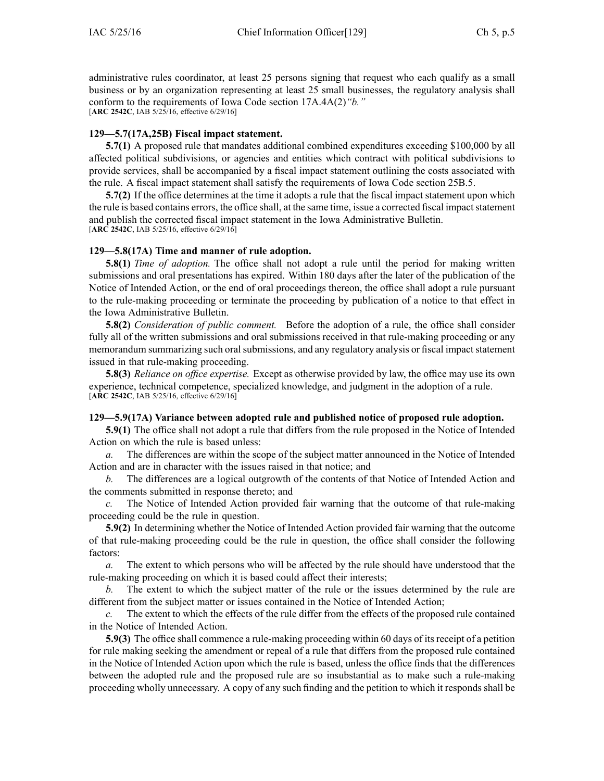administrative rules coordinator, at least 25 persons signing that reques<sup>t</sup> who each qualify as <sup>a</sup> small business or by an organization representing at least 25 small businesses, the regulatory analysis shall conform to the requirements of Iowa Code section [17A.4A\(2\)](https://www.legis.iowa.gov/docs/ico/section/17A.4A.pdf)*"b."* [**ARC 2542C**, IAB 5/25/16, effective 6/29/16]

#### **129—5.7(17A,25B) Fiscal impact statement.**

**5.7(1)** A proposed rule that mandates additional combined expenditures exceeding \$100,000 by all affected political subdivisions, or agencies and entities which contract with political subdivisions to provide services, shall be accompanied by <sup>a</sup> fiscal impact statement outlining the costs associated with the rule. A fiscal impact statement shall satisfy the requirements of Iowa Code section [25B.5](https://www.legis.iowa.gov/docs/ico/section/25B.5.pdf).

**5.7(2)** If the office determines at the time it adopts <sup>a</sup> rule that the fiscal impact statement upon which the rule is based contains errors, the office shall, at the same time, issue a corrected fiscal impact statement and publish the corrected fiscal impact statement in the Iowa Administrative Bulletin. [**ARC 2542C**, IAB 5/25/16, effective 6/29/16]

#### **129—5.8(17A) Time and manner of rule adoption.**

**5.8(1)** *Time of adoption.* The office shall not adopt <sup>a</sup> rule until the period for making written submissions and oral presentations has expired. Within 180 days after the later of the publication of the Notice of Intended Action, or the end of oral proceedings thereon, the office shall adopt <sup>a</sup> rule pursuan<sup>t</sup> to the rule-making proceeding or terminate the proceeding by publication of <sup>a</sup> notice to that effect in the Iowa Administrative Bulletin.

**5.8(2)** *Consideration of public comment.* Before the adoption of <sup>a</sup> rule, the office shall consider fully all of the written submissions and oral submissions received in that rule-making proceeding or any memorandum summarizing such oral submissions, and any regulatory analysis or fiscal impact statement issued in that rule-making proceeding.

**5.8(3)** *Reliance on office expertise.* Except as otherwise provided by law, the office may use its own experience, technical competence, specialized knowledge, and judgment in the adoption of <sup>a</sup> rule. [**ARC 2542C**, IAB 5/25/16, effective 6/29/16]

### **129—5.9(17A) Variance between adopted rule and published notice of proposed rule adoption.**

**5.9(1)** The office shall not adopt <sup>a</sup> rule that differs from the rule proposed in the Notice of Intended Action on which the rule is based unless:

*a.* The differences are within the scope of the subject matter announced in the Notice of Intended Action and are in character with the issues raised in that notice; and

*b.* The differences are <sup>a</sup> logical outgrowth of the contents of that Notice of Intended Action and the comments submitted in response thereto; and

*c.* The Notice of Intended Action provided fair warning that the outcome of that rule-making proceeding could be the rule in question.

**5.9(2)** In determining whether the Notice of Intended Action provided fair warning that the outcome of that rule-making proceeding could be the rule in question, the office shall consider the following factors:

*a.* The extent to which persons who will be affected by the rule should have understood that the rule-making proceeding on which it is based could affect their interests;

*b.* The extent to which the subject matter of the rule or the issues determined by the rule are different from the subject matter or issues contained in the Notice of Intended Action;

*c.* The extent to which the effects of the rule differ from the effects of the proposed rule contained in the Notice of Intended Action.

**5.9(3)** The office shall commence a rule-making proceeding within 60 days of its receipt of a petition for rule making seeking the amendment or repeal of <sup>a</sup> rule that differs from the proposed rule contained in the Notice of Intended Action upon which the rule is based, unless the office finds that the differences between the adopted rule and the proposed rule are so insubstantial as to make such <sup>a</sup> rule-making proceeding wholly unnecessary. A copy of any such finding and the petition to which it responds shall be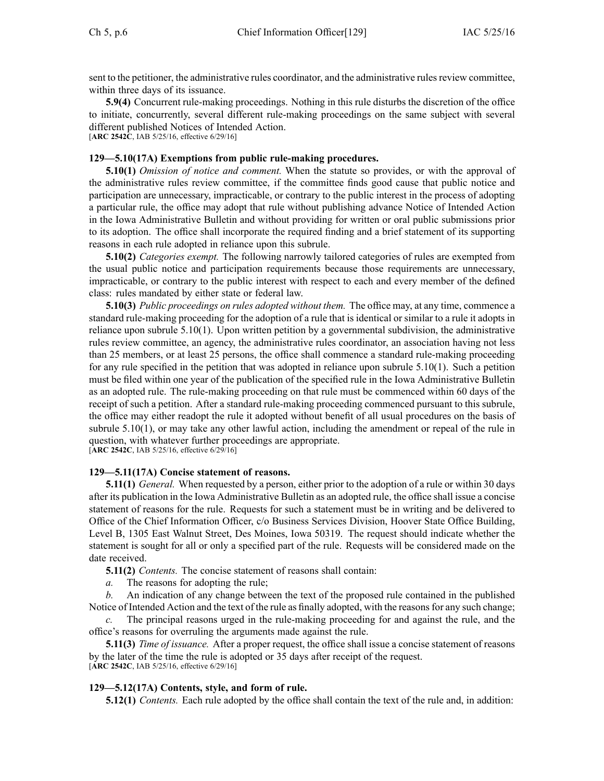sent to the petitioner, the administrative rules coordinator, and the administrative rules review committee, within three days of its issuance.

**5.9(4)** Concurrent rule-making proceedings. Nothing in this rule disturbs the discretion of the office to initiate, concurrently, several different rule-making proceedings on the same subject with several different published Notices of Intended Action.

[**ARC 2542C**, IAB 5/25/16, effective 6/29/16]

### **129—5.10(17A) Exemptions from public rule-making procedures.**

**5.10(1)** *Omission of notice and comment.* When the statute so provides, or with the approval of the administrative rules review committee, if the committee finds good cause that public notice and participation are unnecessary, impracticable, or contrary to the public interest in the process of adopting <sup>a</sup> particular rule, the office may adopt that rule without publishing advance Notice of Intended Action in the Iowa Administrative Bulletin and without providing for written or oral public submissions prior to its adoption. The office shall incorporate the required finding and <sup>a</sup> brief statement of its supporting reasons in each rule adopted in reliance upon this subrule.

**5.10(2)** *Categories exempt.* The following narrowly tailored categories of rules are exempted from the usual public notice and participation requirements because those requirements are unnecessary, impracticable, or contrary to the public interest with respec<sup>t</sup> to each and every member of the defined class: rules mandated by either state or federal law.

**5.10(3)** *Public proceedings on rules adopted without them.* The office may, at any time, commence <sup>a</sup> standard rule-making proceeding for the adoption of <sup>a</sup> rule that is identical or similar to <sup>a</sup> rule it adopts in reliance upon subrule 5.10(1). Upon written petition by <sup>a</sup> governmental subdivision, the administrative rules review committee, an agency, the administrative rules coordinator, an association having not less than 25 members, or at least 25 persons, the office shall commence <sup>a</sup> standard rule-making proceeding for any rule specified in the petition that was adopted in reliance upon subrule 5.10(1). Such <sup>a</sup> petition must be filed within one year of the publication of the specified rule in the Iowa Administrative Bulletin as an adopted rule. The rule-making proceeding on that rule must be commenced within 60 days of the receipt of such <sup>a</sup> petition. After <sup>a</sup> standard rule-making proceeding commenced pursuan<sup>t</sup> to this subrule, the office may either readopt the rule it adopted without benefit of all usual procedures on the basis of subrule 5.10(1), or may take any other lawful action, including the amendment or repeal of the rule in question, with whatever further proceedings are appropriate. [**ARC 2542C**, IAB 5/25/16, effective 6/29/16]

### **129—5.11(17A) Concise statement of reasons.**

**5.11(1)** *General.* When requested by <sup>a</sup> person, either prior to the adoption of <sup>a</sup> rule or within 30 days after its publication in the Iowa Administrative Bulletin as an adopted rule, the office shall issue <sup>a</sup> concise statement of reasons for the rule. Requests for such <sup>a</sup> statement must be in writing and be delivered to Office of the Chief Information Officer, c/o Business Services Division, Hoover State Office Building, Level B, 1305 East Walnut Street, Des Moines, Iowa 50319. The reques<sup>t</sup> should indicate whether the statement is sought for all or only <sup>a</sup> specified par<sup>t</sup> of the rule. Requests will be considered made on the date received.

**5.11(2)** *Contents.* The concise statement of reasons shall contain:

*a.* The reasons for adopting the rule;

*b.* An indication of any change between the text of the proposed rule contained in the published Notice of Intended Action and the text of the rule as finally adopted, with the reasons for any such change;

The principal reasons urged in the rule-making proceeding for and against the rule, and the office's reasons for overruling the arguments made against the rule.

**5.11(3)** *Time of issuance.* After <sup>a</sup> proper request, the office shall issue <sup>a</sup> concise statement of reasons by the later of the time the rule is adopted or 35 days after receipt of the request. [**ARC 2542C**, IAB 5/25/16, effective 6/29/16]

### **129—5.12(17A) Contents, style, and form of rule.**

**5.12(1)** *Contents.* Each rule adopted by the office shall contain the text of the rule and, in addition: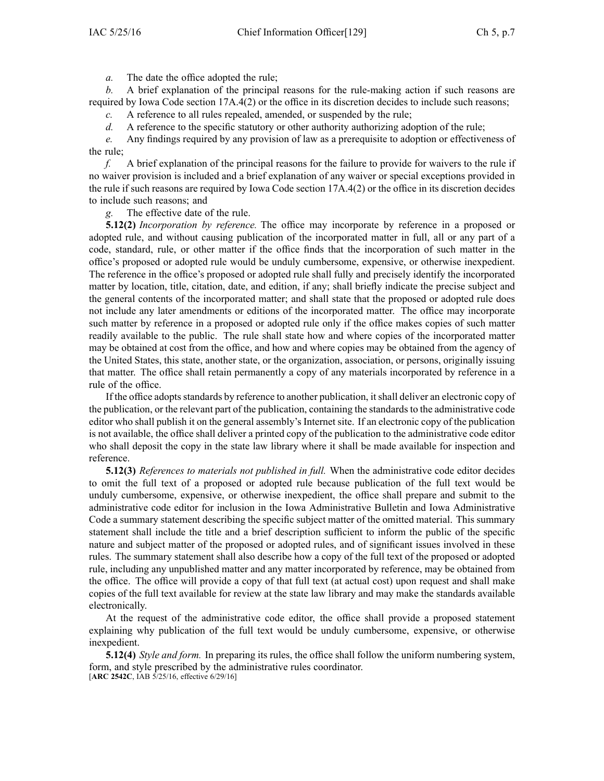*a.* The date the office adopted the rule;

*b.* A brief explanation of the principal reasons for the rule-making action if such reasons are required by Iowa Code section [17A.4\(2\)](https://www.legis.iowa.gov/docs/ico/section/17A.4.pdf) or the office in its discretion decides to include such reasons;

*c.* A reference to all rules repealed, amended, or suspended by the rule;

*d.* A reference to the specific statutory or other authority authorizing adoption of the rule;

*e.* Any findings required by any provision of law as <sup>a</sup> prerequisite to adoption or effectiveness of the rule;

*f.* A brief explanation of the principal reasons for the failure to provide for waivers to the rule if no waiver provision is included and <sup>a</sup> brief explanation of any waiver or special exceptions provided in the rule if such reasons are required by Iowa Code section [17A.4\(2\)](https://www.legis.iowa.gov/docs/ico/section/17A.4.pdf) or the office in its discretion decides to include such reasons; and

*g.* The effective date of the rule.

**5.12(2)** *Incorporation by reference.* The office may incorporate by reference in <sup>a</sup> proposed or adopted rule, and without causing publication of the incorporated matter in full, all or any par<sup>t</sup> of <sup>a</sup> code, standard, rule, or other matter if the office finds that the incorporation of such matter in the office's proposed or adopted rule would be unduly cumbersome, expensive, or otherwise inexpedient. The reference in the office's proposed or adopted rule shall fully and precisely identify the incorporated matter by location, title, citation, date, and edition, if any; shall briefly indicate the precise subject and the general contents of the incorporated matter; and shall state that the proposed or adopted rule does not include any later amendments or editions of the incorporated matter. The office may incorporate such matter by reference in <sup>a</sup> proposed or adopted rule only if the office makes copies of such matter readily available to the public. The rule shall state how and where copies of the incorporated matter may be obtained at cost from the office, and how and where copies may be obtained from the agency of the United States, this state, another state, or the organization, association, or persons, originally issuing that matter. The office shall retain permanently <sup>a</sup> copy of any materials incorporated by reference in <sup>a</sup> rule of the office.

If the office adoptsstandards by reference to another publication, itshall deliver an electronic copy of the publication, or the relevant part of the publication, containing the standards to the administrative code editor who shall publish it on the general assembly's Internet site. If an electronic copy of the publication is not available, the office shall deliver <sup>a</sup> printed copy of the publication to the administrative code editor who shall deposit the copy in the state law library where it shall be made available for inspection and reference.

**5.12(3)** *References to materials not published in full.* When the administrative code editor decides to omit the full text of <sup>a</sup> proposed or adopted rule because publication of the full text would be unduly cumbersome, expensive, or otherwise inexpedient, the office shall prepare and submit to the administrative code editor for inclusion in the Iowa Administrative Bulletin and Iowa Administrative Code <sup>a</sup> summary statement describing the specific subject matter of the omitted material. This summary statement shall include the title and <sup>a</sup> brief description sufficient to inform the public of the specific nature and subject matter of the proposed or adopted rules, and of significant issues involved in these rules. The summary statement shall also describe how <sup>a</sup> copy of the full text of the proposed or adopted rule, including any unpublished matter and any matter incorporated by reference, may be obtained from the office. The office will provide <sup>a</sup> copy of that full text (at actual cost) upon reques<sup>t</sup> and shall make copies of the full text available for review at the state law library and may make the standards available electronically.

At the reques<sup>t</sup> of the administrative code editor, the office shall provide <sup>a</sup> proposed statement explaining why publication of the full text would be unduly cumbersome, expensive, or otherwise inexpedient.

**5.12(4)** *Style and form.* In preparing its rules, the office shall follow the uniform numbering system, form, and style prescribed by the administrative rules coordinator. [**ARC 2542C**, IAB 5/25/16, effective 6/29/16]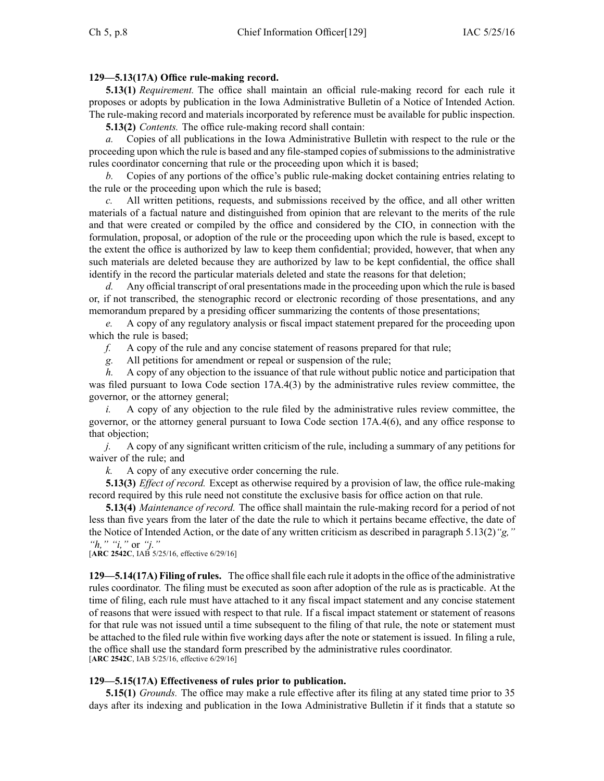## **129—5.13(17A) Office rule-making record.**

**5.13(1)** *Requirement*. The office shall maintain an official rule-making record for each rule it proposes or adopts by publication in the Iowa Administrative Bulletin of <sup>a</sup> Notice of Intended Action. The rule-making record and materials incorporated by reference must be available for public inspection.

**5.13(2)** *Contents.* The office rule-making record shall contain:

*a.* Copies of all publications in the Iowa Administrative Bulletin with respec<sup>t</sup> to the rule or the proceeding upon which the rule is based and any file-stamped copies of submissions to the administrative rules coordinator concerning that rule or the proceeding upon which it is based;

*b.* Copies of any portions of the office's public rule-making docket containing entries relating to the rule or the proceeding upon which the rule is based;

*c.* All written petitions, requests, and submissions received by the office, and all other written materials of <sup>a</sup> factual nature and distinguished from opinion that are relevant to the merits of the rule and that were created or compiled by the office and considered by the CIO, in connection with the formulation, proposal, or adoption of the rule or the proceeding upon which the rule is based, excep<sup>t</sup> to the extent the office is authorized by law to keep them confidential; provided, however, that when any such materials are deleted because they are authorized by law to be kept confidential, the office shall identify in the record the particular materials deleted and state the reasons for that deletion;

*d.* Any official transcript of oral presentations made in the proceeding upon which the rule is based or, if not transcribed, the stenographic record or electronic recording of those presentations, and any memorandum prepared by <sup>a</sup> presiding officer summarizing the contents of those presentations;

*e.* A copy of any regulatory analysis or fiscal impact statement prepared for the proceeding upon which the rule is based;

*f.* A copy of the rule and any concise statement of reasons prepared for that rule;

*g.* All petitions for amendment or repeal or suspension of the rule;

*h.* A copy of any objection to the issuance of that rule without public notice and participation that was filed pursuan<sup>t</sup> to Iowa Code section [17A.4\(3\)](https://www.legis.iowa.gov/docs/ico/section/17A.4.pdf) by the administrative rules review committee, the governor, or the attorney general;

*i.* A copy of any objection to the rule filed by the administrative rules review committee, the governor, or the attorney general pursuan<sup>t</sup> to Iowa Code section [17A.4\(6\)](https://www.legis.iowa.gov/docs/ico/section/17A.4.pdf), and any office response to that objection;

*j.* A copy of any significant written criticism of the rule, including a summary of any petitions for waiver of the rule; and

*k.* A copy of any executive order concerning the rule.

**5.13(3)** *Effect of record.* Except as otherwise required by <sup>a</sup> provision of law, the office rule-making record required by this rule need not constitute the exclusive basis for office action on that rule.

**5.13(4)** *Maintenance of record.* The office shall maintain the rule-making record for <sup>a</sup> period of not less than five years from the later of the date the rule to which it pertains became effective, the date of the Notice of Intended Action, or the date of any written criticism as described in paragraph 5.13(2)*"g," "h," "i,"* or *"j."*

[**ARC 2542C**, IAB 5/25/16, effective 6/29/16]

**129—5.14(17A) Filing of rules.** The office shall file each rule it adoptsin the office of the administrative rules coordinator. The filing must be executed as soon after adoption of the rule as is practicable. At the time of filing, each rule must have attached to it any fiscal impact statement and any concise statement of reasons that were issued with respec<sup>t</sup> to that rule. If <sup>a</sup> fiscal impact statement or statement of reasons for that rule was not issued until <sup>a</sup> time subsequent to the filing of that rule, the note or statement must be attached to the filed rule within five working days after the note or statement is issued. In filing <sup>a</sup> rule, the office shall use the standard form prescribed by the administrative rules coordinator. [**ARC 2542C**, IAB 5/25/16, effective 6/29/16]

### **129—5.15(17A) Effectiveness of rules prior to publication.**

**5.15(1)** *Grounds.* The office may make <sup>a</sup> rule effective after its filing at any stated time prior to 35 days after its indexing and publication in the Iowa Administrative Bulletin if it finds that <sup>a</sup> statute so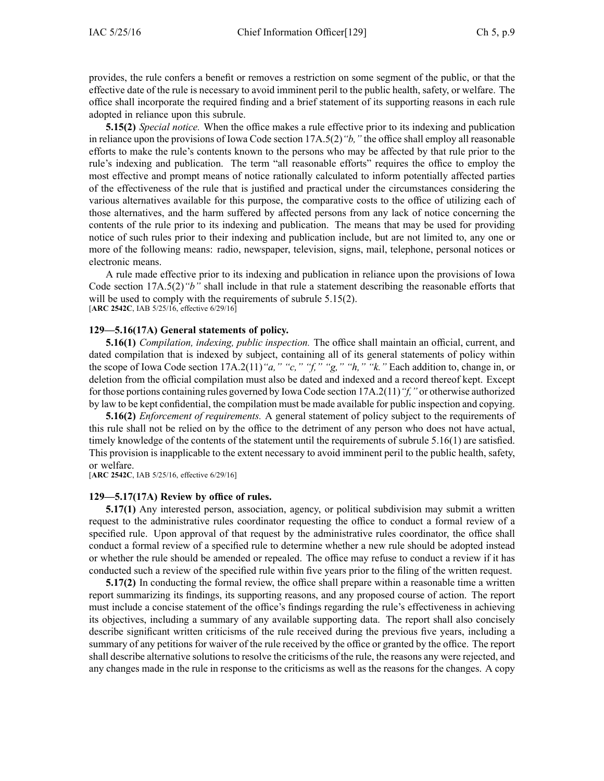provides, the rule confers <sup>a</sup> benefit or removes <sup>a</sup> restriction on some segmen<sup>t</sup> of the public, or that the effective date of the rule is necessary to avoid imminent peril to the public health, safety, or welfare. The office shall incorporate the required finding and <sup>a</sup> brief statement of its supporting reasons in each rule adopted in reliance upon this subrule.

**5.15(2)** *Special notice.* When the office makes <sup>a</sup> rule effective prior to its indexing and publication in reliance upon the provisions of Iowa Code section [17A.5\(2\)](https://www.legis.iowa.gov/docs/ico/section/17A.5.pdf)*"b,"* the office shall employ all reasonable efforts to make the rule's contents known to the persons who may be affected by that rule prior to the rule's indexing and publication. The term "all reasonable efforts" requires the office to employ the most effective and promp<sup>t</sup> means of notice rationally calculated to inform potentially affected parties of the effectiveness of the rule that is justified and practical under the circumstances considering the various alternatives available for this purpose, the comparative costs to the office of utilizing each of those alternatives, and the harm suffered by affected persons from any lack of notice concerning the contents of the rule prior to its indexing and publication. The means that may be used for providing notice of such rules prior to their indexing and publication include, but are not limited to, any one or more of the following means: radio, newspaper, television, signs, mail, telephone, personal notices or electronic means.

A rule made effective prior to its indexing and publication in reliance upon the provisions of Iowa Code section [17A.5\(2\)](https://www.legis.iowa.gov/docs/ico/section/17A.5.pdf)*"b"* shall include in that rule <sup>a</sup> statement describing the reasonable efforts that will be used to comply with the requirements of subrule 5.15(2). [**ARC 2542C**, IAB 5/25/16, effective 6/29/16]

#### **129—5.16(17A) General statements of policy.**

**5.16(1)** *Compilation, indexing, public inspection.* The office shall maintain an official, current, and dated compilation that is indexed by subject, containing all of its general statements of policy within the scope of Iowa Code section [17A.2\(11\)](https://www.legis.iowa.gov/docs/ico/section/17A.2.pdf)*"a," "c," "f," "g," "h," "k."* Each addition to, change in, or deletion from the official compilation must also be dated and indexed and <sup>a</sup> record thereof kept. Except for those portions containing rules governed by Iowa Code section [17A.2\(11\)](https://www.legis.iowa.gov/docs/ico/section/17A.2.pdf)*"f,"* or otherwise authorized by law to be kept confidential, the compilation must be made available for public inspection and copying.

**5.16(2)** *Enforcement of requirements.* A general statement of policy subject to the requirements of this rule shall not be relied on by the office to the detriment of any person who does not have actual, timely knowledge of the contents of the statement until the requirements of subrule 5.16(1) are satisfied. This provision is inapplicable to the extent necessary to avoid imminent peril to the public health, safety, or welfare.

[**ARC 2542C**, IAB 5/25/16, effective 6/29/16]

#### **129—5.17(17A) Review by office of rules.**

**5.17(1)** Any interested person, association, agency, or political subdivision may submit a written reques<sup>t</sup> to the administrative rules coordinator requesting the office to conduct <sup>a</sup> formal review of <sup>a</sup> specified rule. Upon approval of that reques<sup>t</sup> by the administrative rules coordinator, the office shall conduct <sup>a</sup> formal review of <sup>a</sup> specified rule to determine whether <sup>a</sup> new rule should be adopted instead or whether the rule should be amended or repealed. The office may refuse to conduct <sup>a</sup> review if it has conducted such <sup>a</sup> review of the specified rule within five years prior to the filing of the written request.

**5.17(2)** In conducting the formal review, the office shall prepare within a reasonable time a written repor<sup>t</sup> summarizing its findings, its supporting reasons, and any proposed course of action. The repor<sup>t</sup> must include <sup>a</sup> concise statement of the office's findings regarding the rule's effectiveness in achieving its objectives, including <sup>a</sup> summary of any available supporting data. The repor<sup>t</sup> shall also concisely describe significant written criticisms of the rule received during the previous five years, including <sup>a</sup> summary of any petitions for waiver of the rule received by the office or granted by the office. The repor<sup>t</sup> shall describe alternative solutions to resolve the criticisms of the rule, the reasons any were rejected, and any changes made in the rule in response to the criticisms as well as the reasons for the changes. A copy